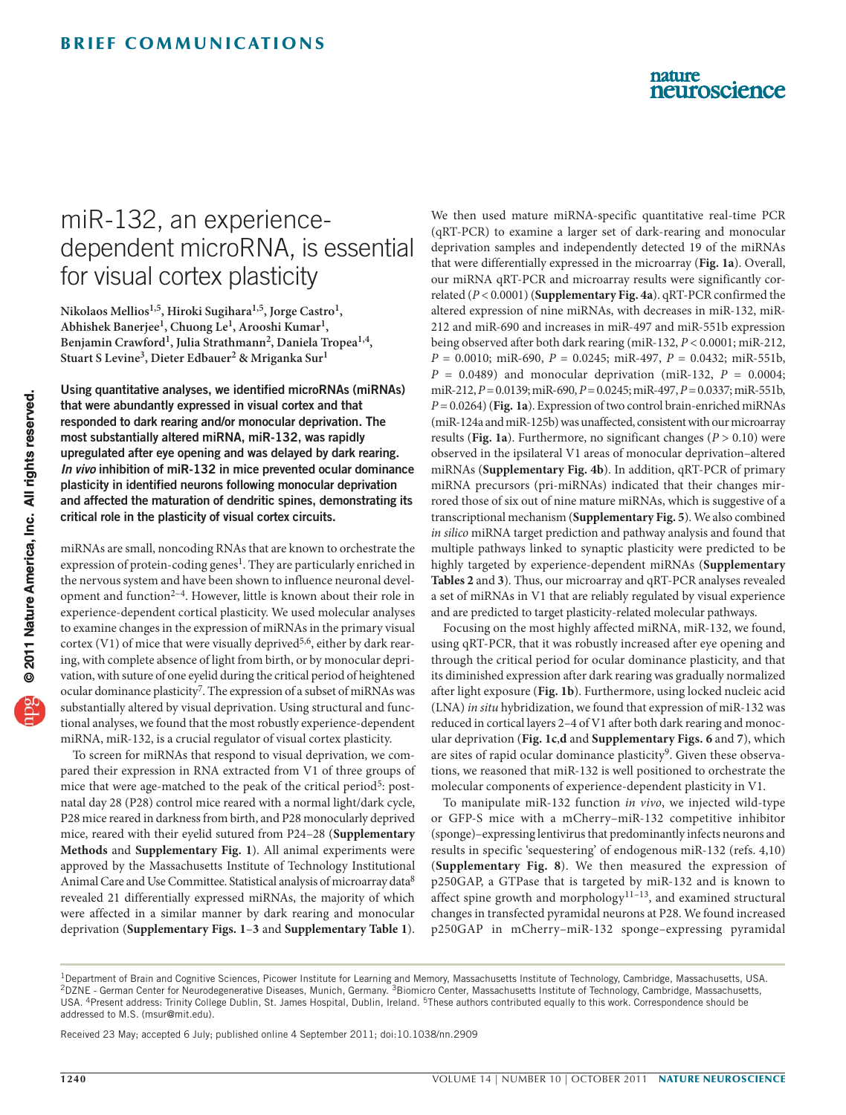### nature neuroscience

# miR-132, an experiencedependent microRNA, is essential for visual cortex plasticity

**Nikolaos Mellios1,5, Hiroki Sugihara1,5, Jorge Castro1, Abhishek Banerjee1, Chuong Le1, Arooshi Kumar1, Benjamin Crawford1, Julia Strathmann2, Daniela Tropea1,4, Stuart S Levine3, Dieter Edbauer2 & Mriganka Sur1**

Using quantitative analyses, we identified microRNAs (miRNAs) that were abundantly expressed in visual cortex and that responded to dark rearing and/or monocular deprivation. The most substantially altered miRNA, miR-132, was rapidly upregulated after eye opening and was delayed by dark rearing. *In vivo* inhibition of miR-132 in mice prevented ocular dominance plasticity in identified neurons following monocular deprivation and affected the maturation of dendritic spines, demonstrating its critical role in the plasticity of visual cortex circuits.

miRNAs are small, noncoding RNAs that are known to orchestrate the expression of protein-coding genes<sup>1</sup>. They are particularly enriched in the nervous system and have been shown to influence neuronal development and function<sup>2-4</sup>. However, little is known about their role in experience-dependent cortical plasticity. We used molecular analyses to examine changes in the expression of miRNAs in the primary visual cortex (V1) of mice that were visually deprived<sup>5,[6](#page-2-4)</sup>, either by dark rearing, with complete absence of light from birth, or by monocular deprivation, with suture of one eyelid during the critical period of heightened ocular dominance plasticity<sup>7</sup>. The expression of a subset of miRNAs was substantially altered by visual deprivation. Using structural and functional analyses, we found that the most robustly experience-dependent miRNA, miR-132, is a crucial regulator of visual cortex plasticity.

To screen for miRNAs that respond to visual deprivation, we compared their expression in RNA extracted from V1 of three groups of mice that were age-matched to the peak of the critical period<sup>[5](#page-2-3)</sup>: postnatal day 28 (P28) control mice reared with a normal light/dark cycle, P28 mice reared in darkness from birth, and P28 monocularly deprived mice, reared with their eyelid sutured from P24–28 (**Supplementary Methods** and **Supplementary Fig. 1**). All animal experiments were approved by the Massachusetts Institute of Technology Institutional Animal Care and Use Committee. Statistical analysis of microarray data<sup>8</sup> revealed 21 differentially expressed miRNAs, the majority of which were affected in a similar manner by dark rearing and monocular deprivation (**Supplementary Figs. 1**–**3** and **Supplementary Table 1**).

We then used mature miRNA-specific quantitative real-time PCR (qRT-PCR) to examine a larger set of dark-rearing and monocular deprivation samples and independently detected 19 of the miRNAs that were differentially expressed in the microarray (**[Fig. 1a](#page-1-0)**). Overall, our miRNA qRT-PCR and microarray results were significantly correlated (*P* < 0.0001) (**Supplementary Fig. 4a**). qRT-PCR confirmed the altered expression of nine miRNAs, with decreases in miR-132, miR-212 and miR-690 and increases in miR-497 and miR-551b expression being observed after both dark rearing (miR-132, *P* < 0.0001; miR-212, *P* = 0.0010; miR-690, *P* = 0.0245; miR-497, *P* = 0.0432; miR-551b,  $P = 0.0489$ ) and monocular deprivation (miR-132,  $P = 0.0004$ ; miR-212, *P* = 0.0139; miR-690, *P* = 0.0245; miR-497, *P* = 0.0337; miR-551b, *P* = 0.0264) (**[Fig.](#page-1-0) 1a**). Expression of two control brain-enriched miRNAs (miR-124a and miR-125b) was unaffected, consistent with our microarray results (**[Fig. 1a](#page-1-0)**). Furthermore, no significant changes ( $P > 0.10$ ) were observed in the ipsilateral V1 areas of monocular deprivation–altered miRNAs (**Supplementary Fig. 4b**). In addition, qRT-PCR of primary miRNA precursors (pri-miRNAs) indicated that their changes mirrored those of six out of nine mature miRNAs, which is suggestive of a transcriptional mechanism (**Supplementary Fig. 5**). We also combined *in silico* miRNA target prediction and pathway analysis and found that multiple pathways linked to synaptic plasticity were predicted to be highly targeted by experience-dependent miRNAs (**Supplementary Tables 2** and **3**). Thus, our microarray and qRT-PCR analyses revealed a set of miRNAs in V1 that are reliably regulated by visual experience and are predicted to target plasticity-related molecular pathways.

Focusing on the most highly affected miRNA, miR-132, we found, using qRT-PCR, that it was robustly increased after eye opening and through the critical period for ocular dominance plasticity, and that its diminished expression after dark rearing was gradually normalized after light exposure (**[Fig. 1b](#page-1-0)**). Furthermore, using locked nucleic acid (LNA) *in situ* hybridization, we found that expression of miR-132 was reduced in cortical layers 2–4 of V1 after both dark rearing and monocular deprivation (**[Fig. 1c](#page-1-0)**,**d** and **Supplementary Figs. 6** and **7**), which are sites of rapid ocular dominance plasticity<sup>[9](#page-2-7)</sup>. Given these observations, we reasoned that miR-132 is well positioned to orchestrate the molecular components of experience-dependent plasticity in V1.

To manipulate miR-132 function *in vivo*, we injected wild-type or GFP-S mice with a mCherry–miR-132 competitive inhibitor (sponge)–expressing lentivirus that predominantly infects neurons and results in specific 'sequestering' of endogenous miR-132 (refs. 4,10) (**Supplementary Fig. 8**). We then measured the expression of p250GAP, a GTPase that is targeted by miR-132 and is known to affect spine growth and morphology<sup>11-13</sup>, and examined structural changes in transfected pyramidal neurons at P28. We found increased p250GAP in mCherry–miR-132 sponge–expressing pyramidal

Received 23 May; accepted 6 July; published online 4 September 2011; [doi:10.1038/nn.2909](http://www.nature.com/doifinder/10.1038/nn.2909)

<sup>&</sup>lt;sup>1</sup>Department of Brain and Cognitive Sciences, Picower Institute for Learning and Memory, Massachusetts Institute of Technology, Cambridge, Massachusetts, USA. <sup>2</sup>DZNE - German Center for Neurodegenerative Diseases, Munich, Germany. <sup>3</sup>Biomicro Center, Massachusetts Institute of Technology, Cambridge, Massachusetts, USA. 4Present address: Trinity College Dublin, St. James Hospital, Dublin, Ireland. 5These authors contributed equally to this work. Correspondence should be addressed to M.S. (msur@mit.edu).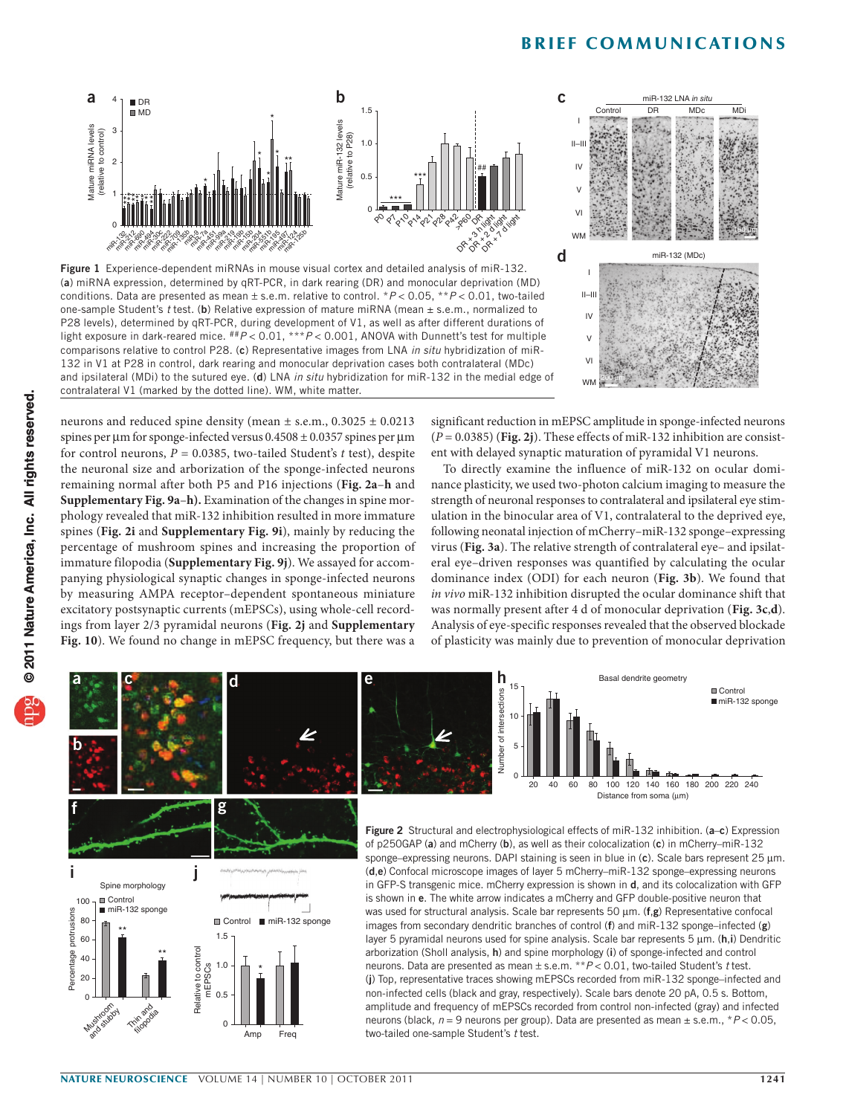### **BRIEF COMMUNICATIONS**



<span id="page-1-0"></span>Figure 1 Experience-dependent miRNAs in mouse visual cortex and detailed analysis of miR-132. (a) miRNA expression, determined by qRT-PCR, in dark rearing (DR) and monocular deprivation (MD) conditions. Data are presented as mean ± s.e.m. relative to control. \**P* < 0.05, \*\**P* < 0.01, two-tailed one-sample Student's *t* test. (b) Relative expression of mature miRNA (mean ± s.e.m., normalized to P28 levels), determined by qRT-PCR, during development of V1, as well as after different durations of light exposure in dark-reared mice. ##*P* < 0.01, \*\*\**P* < 0.001, ANOVA with Dunnett's test for multiple comparisons relative to control P28. (c) Representative images from LNA *in situ* hybridization of miR-132 in V1 at P28 in control, dark rearing and monocular deprivation cases both contralateral (MDc) and ipsilateral (MDi) to the sutured eye. (d) LNA *in situ* hybridization for miR-132 in the medial edge of contralateral V1 (marked by the dotted line). WM, white matter.



neurons and reduced spine density (mean ± s.e.m., 0.3025 ± 0.0213 spines per  $\mu$ m for sponge-infected versus  $0.4508 \pm 0.0357$  spines per  $\mu$ m for control neurons, *P* = 0.0385, two-tailed Student's *t* test), despite the neuronal size and arborization of the sponge-infected neurons remaining normal after both P5 and P16 injections (**[Fig.](#page-1-1) 2a**–**h** and **Supplementary Fig. 9a**–**h).** Examination of the changes in spine morphology revealed that miR-132 inhibition resulted in more immature spines (**[Fig. 2](#page-1-1)i** and **Supplementary Fig. 9i**), mainly by reducing the percentage of mushroom spines and increasing the proportion of immature filopodia (**Supplementary Fig. 9j**). We assayed for accompanying physiological synaptic changes in sponge-infected neurons by measuring AMPA receptor–dependent spontaneous miniature excitatory postsynaptic currents (mEPSCs), using whole-cell recordings from layer 2/3 pyramidal neurons (**[Fig. 2j](#page-1-1)** and **Supplementary Fig. 10**). We found no change in mEPSC frequency, but there was a

significant reduction in mEPSC amplitude in sponge-infected neurons  $(P = 0.0385)$  ([Fig. 2](#page-1-1)*j*). These effects of miR-132 inhibition are consistent with delayed synaptic maturation of pyramidal V1 neurons.

To directly examine the influence of miR-132 on ocular dominance plasticity, we used two-photon calcium imaging to measure the strength of neuronal responses to contralateral and ipsilateral eye stimulation in the binocular area of V1, contralateral to the deprived eye, following neonatal injection of mCherry–miR-132 sponge–expressing virus (**[Fig. 3a](#page-2-10)**). The relative strength of contralateral eye– and ipsilateral eye–driven responses was quantified by calculating the ocular dominance index (ODI) for each neuron (**[Fig. 3b](#page-2-10)**). We found that *in vivo* miR-132 inhibition disrupted the ocular dominance shift that was normally present after 4 d of monocular deprivation (**[Fig. 3c](#page-2-10)**,**d**). Analysis of eye-specific responses revealed that the observed blockade of plasticity was mainly due to prevention of monocular deprivation

<span id="page-1-1"></span>